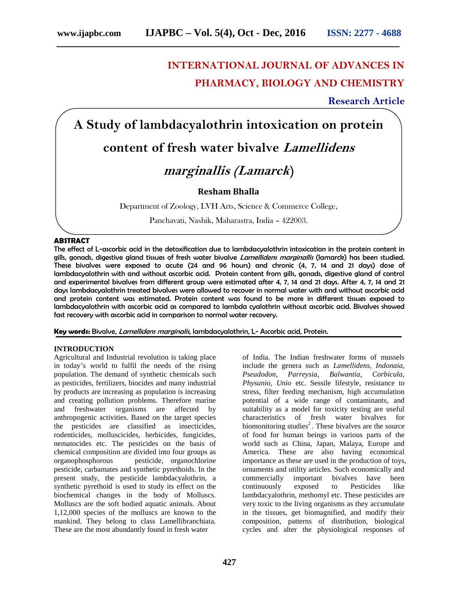# **INTERNATIONAL JOURNAL OF ADVANCES IN PHARMACY, BIOLOGY AND CHEMISTRY**

## **Research Article**

**A Study of lambdacyalothrin intoxication on protein**

# **content of fresh water bivalve** *Lamellidens*

## *marginallis (Lamarck***)**

### **Resham Bhalla**

Department of Zoology, LVH Arts, Science & Commerce College,

Panchavati, Nashik, Maharastra, India – 422003.

#### **ABSTRACT**

The effect of L-ascorbic acid in the detoxification due to lambdacyalothrin intoxication in the protein content in gills, gonads, digestive gland tissues of fresh water bivalve *Lamellidens marginallis* (lamarck) has been studied. These bivalves were exposed to acute (24 and 96 hours) and chronic (4, 7, 14 and 21 days) dose of lambdacyalothrin with and without ascorbic acid. Protein content from gills, gonads, digestive gland of control and experimental bivalves from different group were estimated after 4, 7, 14 and 21 days. After 4, 7, 14 and 21 days lambdacyalothrin treated bivalves were allowed to recover in normal water with and without ascorbic acid and protein content was estimated. Protein content was found to be more in different tissues exposed to lambdacyalothrin with ascorbic acid as compared to lambda cyalothrin without ascorbic acid. Bivalves showed fast recovery with ascorbic acid in comparison to normal water recovery.

**Key words:** Bivalve, *Lamellidens marginalis*, lambdacyalothrin, L- Ascorbic acid, Protein.

#### **INTRODUCTION**

Agricultural and Industrial revolution is taking place in today's world to fulfil the needs of the rising population. The demand of synthetic chemicals such as pesticides, fertilizers, biocides and many industrial by products are increasing as population is increasing and creating pollution problems. Therefore marine<br>and freshwater organisms are affected by organisms are affected anthropogenic activities. Based on the target species the pesticides are classified as insecticides, rodenticides, molluscicides, herbicides, fungicides, nematocides etc. The pesticides on the basis of chemical composition are divided into four groups as organophosphorous pesticide, organochlorine pesticide, carbamates and synthetic pyrethoids. In the present study, the pesticide lambdacyalothrin, a synthetic pyrethoid is used to study its effect on the biochemical changes in the body of Molluscs. Molluscs are the soft bodied aquatic animals. About 1,12,000 species of the molluscs are known to the mankind. They belong to class Lamellibranchiata. These are the most abundantly found in fresh water

of India. The Indian freshwater forms of mussels include the genera such as *Lamellidens, Indonaia, Pseudodon, Parreysia, Balwantia, Corbicula, Physunio, Unio* etc. Sessile lifestyle, resistance to stress, filter feeding mechanism, high accumulation potential of a wide range of contaminants, and suitability as a model for toxicity testing are useful characteristics of fresh water bivalves for biomonitoring studies<sup>2</sup>. These bivalves are the source of food for human beings in various parts of the world such as China, Japan, Malaya, Europe and America. These are also having economical importance as these are used in the production of toys, ornaments and utility articles. Such economically and commercially important bivalves have been<br>continuously exposed to Pesticides like continuously exposed to Pesticides like lambdacyalothrin, methomyl etc. These pesticides are very toxic to the living organisms as they accumulate in the tissues, get biomagnified, and modify their composition, patterns of distribution, biological cycles and alter the physiological responses of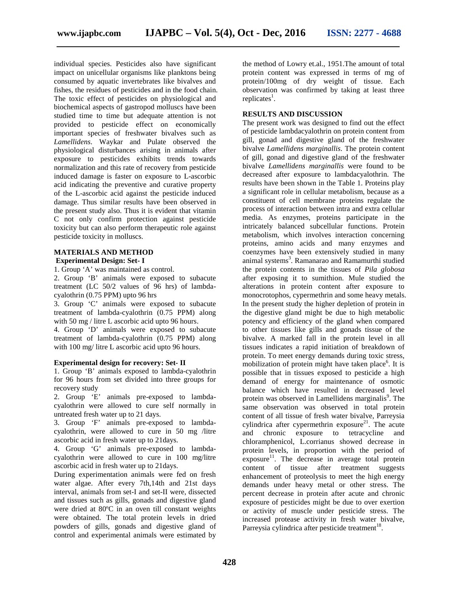individual species. Pesticides also have significant impact on unicellular organisms like planktons being consumed by aquatic invertebrates like bivalves and fishes, the residues of pesticides and in the food chain. The toxic effect of pesticides on physiological and biochemical aspects of gastropod molluscs have been studied time to time but adequate attention is not provided to pesticide effect on economically important species of freshwater bivalves such as *Lamellidens*. Waykar and Pulate observed the physiological disturbances arising in animals after exposure to pesticides exhibits trends towards normalization and this rate of recovery from pesticide induced damage is faster on exposure to L-ascorbic acid indicating the preventive and curative property of the L-ascorbic acid against the pesticide induced damage. Thus similar results have been observed in the present study also. Thus it is evident that vitamin C not only confirm protection against pesticide toxicity but can also perform therapeutic role against pesticide toxicity in molluscs.

**MATERIALS AND METHOD Experimental Design: Set- I**

1. Group 'A' was maintained as control.

2. Group 'B' animals were exposed to subacute treatment (LC 50/2 values of 96 hrs) of lambda cyalothrin (0.75 PPM) upto 96 hrs

3. Group 'C' animals were exposed to subacute treatment of lambda-cyalothrin (0.75 PPM) along with 50 mg / litre L ascorbic acid upto 96 hours.

4. Group 'D' animals were exposed to subacute treatment of lambda-cyalothrin (0.75 PPM) along with 100 mg/ litre L ascorbic acid upto 96 hours.

#### **Experimental design for recovery: Set- II**

1. Group 'B' animals exposed to lambda-cyalothrin for 96 hours from set divided into three groups for recovery study

2. Group 'E' animals pre-exposed to lambda cyalothrin were allowed to cure self normally in untreated fresh water up to 21 days.

3. Group 'F' animals pre-exposed to lambda cyalothrin, were allowed to cure in 50 mg /litre ascorbic acid in fresh water up to 21days.

4. Group 'G' animals pre-exposed to lambda cyalothrin were allowed to cure in 100 mg/litre ascorbic acid in fresh water up to 21days.

During experimentation animals were fed on fresh water algae. After every 7th,14th and 21st days interval, animals from set-I and set-II were, dissected and tissues such as gills, gonads and digestive gland were dried at 80ºC in an oven till constant weights were obtained. The total protein levels in dried powders of gills, gonads and digestive gland of control and experimental animals were estimated by

the method of Lowry et.al., 1951.The amount of total protein content was expressed in terms of mg of protein/100mg of dry weight of tissue. Each observation was confirmed by taking at least three replicates<sup>1</sup>.

#### **RESULTS AND DISCUSSION**

The present work was designed to find out the effect of pesticide lambdacyalothrin on protein content from gill, gonad and digestive gland of the freshwater bivalve *Lamellidens marginallis*. The protein content of gill, gonad and digestive gland of the freshwater bivalve *Lamellidens marginallis* were found to be decreased after exposure to lambdacyalothrin. The results have been shown in the Table 1. Proteins play a significant role in cellular metabolism, because as a constituent of cell membrane proteins regulate the process of interaction between intra and extra cellular media. As enzymes, proteins participate in the intricately balanced subcellular functions. Protein metabolism, which involves interaction concerning proteins, amino acids and many enzymes and coenzymes have been extensively studied in many animal systems<sup>3</sup>. Ramanarao and Ramamurthi studied the protein contents in the tissues of *Pila globosa* after exposing it to sumithion. Mule studied the alterations in protein content after exposure to monocrotophos, cypermethrin and some heavy metals. In the present study the higher depletion of protein in the digestive gland might be due to high metabolic potency and efficiency of the gland when compared to other tissues like gills and gonads tissue of the bivalve. A marked fall in the protein level in all tissues indicates a rapid initiation of breakdown of protein. To meet energy demands during toxic stress, mobilization of protein might have taken place $<sup>6</sup>$ . It is</sup> possible that in tissues exposed to pesticide a high demand of energy for maintenance of osmotic balance which have resulted in decreased level protein was observed in Lamellidens marginalis<sup>9</sup>. The same observation was observed in total protein content of all tissue of fresh water bivalve, Parreysia cylindrica after cypermethrin exposure $^{21}$ . The acute and chronic exposure to tetracycline and chloramphenicol, L.corrianus showed decrease in protein levels, in proportion with the period of  $exposure<sup>11</sup>$ . The decrease in average total protein content of tissue after treatment suggests enhancement of proteolysis to meet the high energy demands under heavy metal or other stress. The percent decrease in protein after acute and chronic exposure of pesticides might be due to over exertion or activity of muscle under pesticide stress. The increased protease activity in fresh water bivalve, Parreysia cylindrica after pesticide treatment<sup>18</sup>.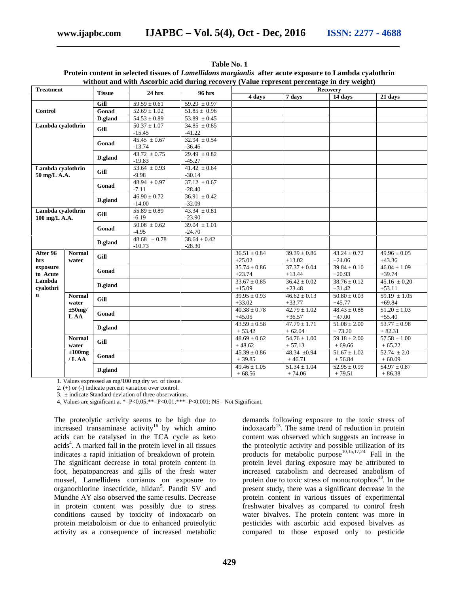|                                                                |                                        |               |                  |                             | without and with Ascorbic acid during recovery (Value represent percentage in dry weight) |                  |                             |                             |
|----------------------------------------------------------------|----------------------------------------|---------------|------------------|-----------------------------|-------------------------------------------------------------------------------------------|------------------|-----------------------------|-----------------------------|
| <b>Treatment</b>                                               |                                        | <b>Tissue</b> | <b>24 hrs</b>    | <b>96 hrs</b>               | <b>Recovery</b>                                                                           |                  |                             |                             |
|                                                                |                                        |               |                  |                             | 4 days                                                                                    | 7 days           | 14 days                     | 21 days                     |
| <b>Control</b>                                                 |                                        | Gill          | $59.59 \pm 0.61$ | $59.29 \pm 0.97$            |                                                                                           |                  |                             |                             |
|                                                                |                                        | Gonad         | $52.69 \pm 1.02$ | $51.85 \pm 0.96$            |                                                                                           |                  |                             |                             |
|                                                                |                                        | D.gland       | $54.53 \pm 0.89$ | $53.89 \pm 0.45$            |                                                                                           |                  |                             |                             |
| Lambda cyalothrin                                              |                                        | Gill          | $50.37 \pm 1.07$ | $34.85 \pm 0.85$            |                                                                                           |                  |                             |                             |
|                                                                |                                        |               | $-15.45$         | $-41.22$                    |                                                                                           |                  |                             |                             |
|                                                                |                                        | Gonad         | $45.45 \pm 0.67$ | $32.94 \pm 0.54$            |                                                                                           |                  |                             |                             |
|                                                                |                                        |               | $-13.74$         | $-36.46$                    |                                                                                           |                  |                             |                             |
|                                                                |                                        | D.gland       | $43.72 \pm 0.75$ | $29.49 \pm 0.82$            |                                                                                           |                  |                             |                             |
|                                                                |                                        |               | $-19.83$         | $-45.27$                    |                                                                                           |                  |                             |                             |
| Lambda cyalothrin<br>50 mg/L A.A.                              |                                        | Gill          | $53.64 \pm 0.93$ | $41.42 \pm 0.64$            |                                                                                           |                  |                             |                             |
|                                                                |                                        |               | $-9.98$          | $-30.14$                    |                                                                                           |                  |                             |                             |
|                                                                |                                        | Gonad         | $48.94 \pm 0.97$ | $37.12 \pm 0.67$            |                                                                                           |                  |                             |                             |
|                                                                |                                        |               | $-7.11$          | $-28.40$                    |                                                                                           |                  |                             |                             |
|                                                                |                                        | D.gland       | $46.90 \pm 0.72$ | $\overline{36.91} \pm 0.42$ |                                                                                           |                  |                             |                             |
|                                                                |                                        |               | $-14.00$         | $-32.09$                    |                                                                                           |                  |                             |                             |
| Lambda cvalothrin<br>100 mg/L A.A.                             |                                        | Gill          | $55.89 \pm 0.89$ | $43.34 \pm 0.81$            |                                                                                           |                  |                             |                             |
|                                                                |                                        |               | $-6.19$          | $-23.90$                    |                                                                                           |                  |                             |                             |
|                                                                |                                        | Gonad         | $50.08 \pm 0.62$ | $39.04 \pm 1.01$            |                                                                                           |                  |                             |                             |
|                                                                |                                        |               | $-4.95$          | $-24.70$                    |                                                                                           |                  |                             |                             |
|                                                                |                                        | D.gland       | $48.68 \pm 0.78$ | $38.64 \pm 0.42$            |                                                                                           |                  |                             |                             |
|                                                                |                                        |               | $-10.73$         | $-28.30$                    |                                                                                           |                  |                             |                             |
| After 96<br>hrs<br>exposure<br>to Acute<br>Lambda<br>cvalothri | <b>Normal</b><br>water                 | Gill          |                  |                             | $36.51 \pm 0.84$                                                                          | $39.39 \pm 0.86$ | $43.24 \pm 0.72$            | $49.96 \pm 0.05$            |
|                                                                |                                        |               |                  |                             | $+25.02$                                                                                  | $+13.02$         | $+24.06$                    | $+43.36$                    |
|                                                                |                                        | Gonad         |                  |                             | $35.74 \pm 0.86$                                                                          | $37.37 \pm 0.04$ | $39.84 \pm 0.10$            | $46.04 \pm 1.09$            |
|                                                                |                                        |               |                  |                             | $+23.74$                                                                                  | $+13.44$         | $+20.93$                    | $+39.74$                    |
|                                                                |                                        | D.gland       |                  |                             | $33.67 \pm 0.85$                                                                          | $36.42 \pm 0.02$ | $38.76 \pm 0.12$            | $45.16 \pm 0.20$            |
|                                                                |                                        |               |                  |                             | $+15.09$                                                                                  | $+23.48$         | $+31.42$                    | $+53.11$                    |
| $\mathbf n$                                                    | <b>Normal</b>                          | Gill          |                  |                             | $39.95 \pm 0.93$                                                                          | $46.62 \pm 0.13$ | $50.80 \pm 0.03$            | $59.19 \pm 1.05$            |
|                                                                | water                                  |               |                  |                             | $+33.02$                                                                                  | $+33.77$         | $+45.77$                    | $+69.84$                    |
|                                                                | $\pm 50$ mg/                           | Gonad         |                  |                             | $40.38 \pm 0.78$                                                                          | $42.79 \pm 1.02$ | $48.43 \pm 0.88$            | $51.20 \pm 1.03$            |
|                                                                | L AA                                   |               |                  |                             | $+45.05$                                                                                  | $+36.57$         | $+47.00$                    | $+55.40$                    |
|                                                                |                                        | D.gland       |                  |                             | $43.59 \pm 0.58$                                                                          | $47.79 \pm 1.71$ | $\overline{51.08} \pm 2.00$ | $53.77 \pm 0.98$            |
|                                                                |                                        |               |                  |                             | $+53.42$                                                                                  | $+62.04$         | $+73.20$                    | $+82.31$                    |
|                                                                | <b>Normal</b><br>water<br>$\pm 100$ mg | Gill          |                  |                             | $48.69 \pm 0.62$                                                                          | $54.76 \pm 1.00$ | $59.18 \pm 2.00$            | $\overline{57.58 \pm 1.00}$ |
|                                                                |                                        |               |                  |                             | $+48.62$                                                                                  | $+57.13$         | $+69.66$                    | $+65.22$                    |
|                                                                |                                        | Gonad         |                  |                             | $\frac{45.39 \pm 0.86}{2}$                                                                | 48.34 $\pm 0.94$ | $51.67 \pm 1.02$            | $52.74 \pm 2.0$             |
|                                                                | /LAA                                   |               |                  |                             | $+39.85$                                                                                  | $+46.71$         | $+56.84$                    | $+60.09$                    |
|                                                                |                                        | D.gland       |                  |                             | $49.46 \pm 1.05$                                                                          | $51.34 \pm 1.04$ | $52.95 \pm 0.99$            | $54.97 \pm 0.87$            |
|                                                                |                                        |               |                  |                             | $+68.56$                                                                                  | $+74.06$         | $+79.51$                    | $+86.38$                    |

**Table No. 1 Protein content in selected tissues of** *Lamellidans margianlis* **after acute exposure to Lambda cyalothrin**

1. Values expressed as mg/100 mg dry wt. of tissue.

2. (+) or (-) indicate percent variation over control.

3. ± indicate Standard deviation of three observations.

4. Values are significant at \*=P<0.05;\*\*=P<0.01;\*\*\*=P<0.001; NS= Not Significant.

The proteolytic activity seems to be high due to increased transaminase activity<sup>16</sup> by which amino acids can be catalysed in the TCA cycle as keto acids<sup>4</sup>. A marked fall in the protein level in all tissues indicates a rapid initiation of breakdown of protein. The significant decrease in total protein content in foot, hepatopancreas and gills of the fresh water mussel, Lamellidens corrianus on exposure to organochlorine insecticide, hildan<sup>5</sup>. Pandit SV and Mundhe AY also observed the same results. Decrease in protein content was possibly due to stress conditions caused by toxicity of indoxacarb on protein metaboloism or due to enhanced proteolytic activity as a consequence of increased metabolic

demands following exposure to the toxic stress of indoxacarb<sup>13</sup>. The same trend of reduction in protein content was observed which suggests an increase in the proteolytic activity and possible utilization of its products for metabolic purpose<sup>10,15,17,24.</sup> Fall in the protein level during exposure may be attributed to increased catabolism and decreased anabolism of protein due to toxic stress of monocrotophos $^{13}$ . In the present study, there was a significant decrease in the protein content in various tissues of experimental freshwater bivalves as compared to control fresh water bivalves. The protein content was more in pesticides with ascorbic acid exposed bivalves as compared to those exposed only to pesticide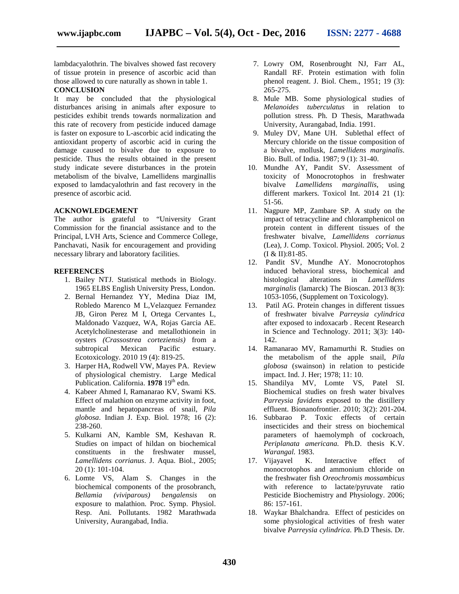lambdacyalothrin. The bivalves showed fast recovery of tissue protein in presence of ascorbic acid than those allowed to cure naturally as shown in table 1.

### **CONCLUSION**

It may be concluded that the physiological disturbances arising in animals after exposure to pesticides exhibit trends towards normalization and this rate of recovery from pesticide induced damage is faster on exposure to L-ascorbic acid indicating the antioxidant property of ascorbic acid in curing the damage caused to bivalve due to exposure to pesticide. Thus the results obtained in the present study indicate severe disturbances in the protein metabolism of the bivalve, Lamellidens marginallis exposed to lamdacyalothrin and fast recovery in the presence of ascorbic acid.

### **ACKNOWLEDGEMENT**

The author is grateful to "University Grant Commission for the financial assistance and to the Principal, LVH Arts, Science and Commerce College, Panchavati, Nasik for encouragement and providing necessary library and laboratory facilities.

#### **REFERENCES**

- 1. Bailey NTJ. Statistical methods in Biology. 1965 ELBS English University Press, London.
- 2. Bernal Hernandez YY, Medina Diaz IM, Robledo Marenco M L,Velazquez Fernandez JB, Giron Perez M I, Ortega Cervantes L, Maldonado Vazquez, WA, Rojas Garcia AE. Acetylcholinesterase and metallothionein in oysters *(Crassostrea corteziensis)* from a subtropical Mexican Pacific estuary. Ecotoxicology. 2010 19 (4): 819-25.
- 3. Harper HA, Rodwell VW, Mayes PA. Review of physiological chemistry. Large Medical Publication. California. **1978** 19<sup>th</sup> edn.
- 4. Kabeer Ahmed I, Ramanarao KV, Swami KS. Effect of malathion on enzyme activity in foot, mantle and hepatopancreas of snail, *Pila globosa*. Indian J. Exp. Biol. 1978; 16 (2): 238-260.
- 5. Kulkarni AN, Kamble SM, Keshavan R. Studies on impact of hildan on biochemical constituents in the freshwater mussel, *Lamellidens corrianus*. J. Aqua. Biol., 2005; 20 (1): 101-104.
- 6. Lomte VS, Alam S. Changes in the biochemical components of the prosobranch, *Bellamia (viviparous) bengalensis* on exposure to malathion. Proc. Symp. Physiol. Resp. Ani. Pollutants. 1982 Marathwada University, Aurangabad, India.
- 7. Lowry OM, Rosenbrought NJ, Farr AL, Randall RF. Protein estimation with folin phenol reagent. J. Biol. Chem., 1951; 19 (3): 265-275.
- 8. Mule MB. Some physiological studies of *Melanoides tuberculatus* in relation to pollution stress. Ph. D Thesis, Marathwada University, Aurangabad, India. 1991.
- 9. Muley DV, Mane UH. Sublethal effect of Mercury chloride on the tissue composition of a bivalve, mollusk, *Lamellidens marginalis*. Bio. Bull. of India. 1987; 9 (1): 31-40.
- 10. Mundhe AY, Pandit SV. Assessment of toxicity of Monocrotophos in freshwater bivalve *Lamellidens marginallis,* using different markers. Toxicol Int. 2014 21 (1): 51-56.
- 11. Nagpure MP, Zambare SP. A study on the impact of tetracycline and chloramphenicol on protein content in different tissues of the freshwater bivalve, *Lamellidens corrianus* (Lea), J. Comp. Toxicol. Physiol. 2005; Vol. 2 (I & II):81-85.
- 12. Pandit SV, Mundhe AY. Monocrotophos induced behavioral stress, biochemical and histological alterations in *Lamellidens marginalis* (lamarck) The Bioscan. 2013 8(3): 1053-1056, (Supplement on Toxicology).
- 13. Patil AG. Protein changes in different tissues of freshwater bivalve *Parreysia cylindrica* after exposed to indoxacarb . Recent Research in Science and Technology. 2011; 3(3): 140- 142.
- 14. Ramanarao MV, Ramamurthi R. Studies on the metabolism of the apple snail, *Pila globosa* (swainson) in relation to pesticide impact. Ind. J. Her; 1978; 11: 10.
- 15. Shandilya MV, Lomte VS, Patel SI. Biochemical studies on fresh water bivalves *Parreysia favidens* exposed to the distillery effluent. Bionanofrontier. 2010; 3(2): 201-204.
- 16. Subbarao P. Toxic effects of certain insecticides and their stress on biochemical parameters of haemolymph of cockroach, *Periplanata americana.* Ph.D. thesis K.V. *Warangal.* 1983.
- 17. Vijayavel K. Interactive effect of monocrotophos and ammonium chloride on the freshwater fish *Oreochromis mossambicus* with reference to lactate/pyruvate ratio Pesticide Biochemistry and Physiology. 2006; 86: 157-161.
- 18. Waykar Bhalchandra. Effect of pesticides on some physiological activities of fresh water bivalve *Parreysia cylindrica.* Ph.D Thesis. Dr.